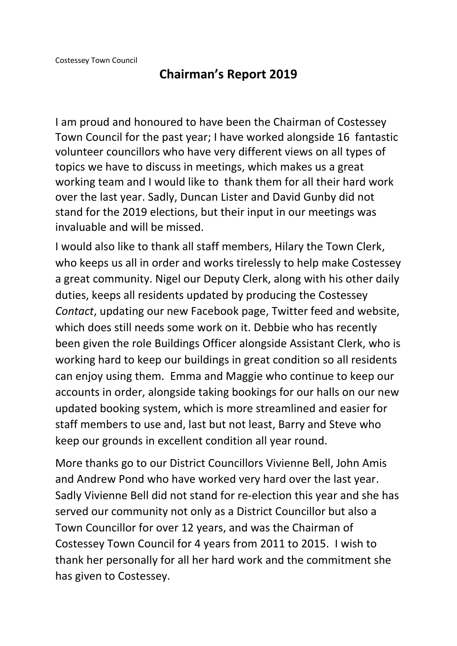## **Chairman's Report 2019**

I am proud and honoured to have been the Chairman of Costessey Town Council for the past year; I have worked alongside 16 fantastic volunteer councillors who have very different views on all types of topics we have to discuss in meetings, which makes us a great working team and I would like to thank them for all their hard work over the last year. Sadly, Duncan Lister and David Gunby did not stand for the 2019 elections, but their input in our meetings was invaluable and will be missed.

I would also like to thank all staff members, Hilary the Town Clerk, who keeps us all in order and works tirelessly to help make Costessey a great community. Nigel our Deputy Clerk, along with his other daily duties, keeps all residents updated by producing the Costessey *Contact*, updating our new Facebook page, Twitter feed and website, which does still needs some work on it. Debbie who has recently been given the role Buildings Officer alongside Assistant Clerk, who is working hard to keep our buildings in great condition so all residents can enjoy using them. Emma and Maggie who continue to keep our accounts in order, alongside taking bookings for our halls on our new updated booking system, which is more streamlined and easier for staff members to use and, last but not least, Barry and Steve who keep our grounds in excellent condition all year round.

More thanks go to our District Councillors Vivienne Bell, John Amis and Andrew Pond who have worked very hard over the last year. Sadly Vivienne Bell did not stand for re-election this year and she has served our community not only as a District Councillor but also a Town Councillor for over 12 years, and was the Chairman of Costessey Town Council for 4 years from 2011 to 2015. I wish to thank her personally for all her hard work and the commitment she has given to Costessey.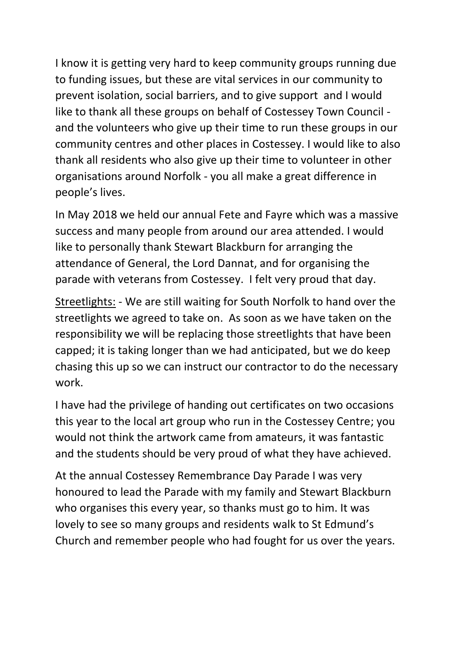I know it is getting very hard to keep community groups running due to funding issues, but these are vital services in our community to prevent isolation, social barriers, and to give support and I would like to thank all these groups on behalf of Costessey Town Council and the volunteers who give up their time to run these groups in our community centres and other places in Costessey. I would like to also thank all residents who also give up their time to volunteer in other organisations around Norfolk - you all make a great difference in people's lives.

In May 2018 we held our annual Fete and Fayre which was a massive success and many people from around our area attended. I would like to personally thank Stewart Blackburn for arranging the attendance of General, the Lord Dannat, and for organising the parade with veterans from Costessey. I felt very proud that day.

Streetlights: - We are still waiting for South Norfolk to hand over the streetlights we agreed to take on. As soon as we have taken on the responsibility we will be replacing those streetlights that have been capped; it is taking longer than we had anticipated, but we do keep chasing this up so we can instruct our contractor to do the necessary work.

I have had the privilege of handing out certificates on two occasions this year to the local art group who run in the Costessey Centre; you would not think the artwork came from amateurs, it was fantastic and the students should be very proud of what they have achieved.

At the annual Costessey Remembrance Day Parade I was very honoured to lead the Parade with my family and Stewart Blackburn who organises this every year, so thanks must go to him. It was lovely to see so many groups and residents walk to St Edmund's Church and remember people who had fought for us over the years.